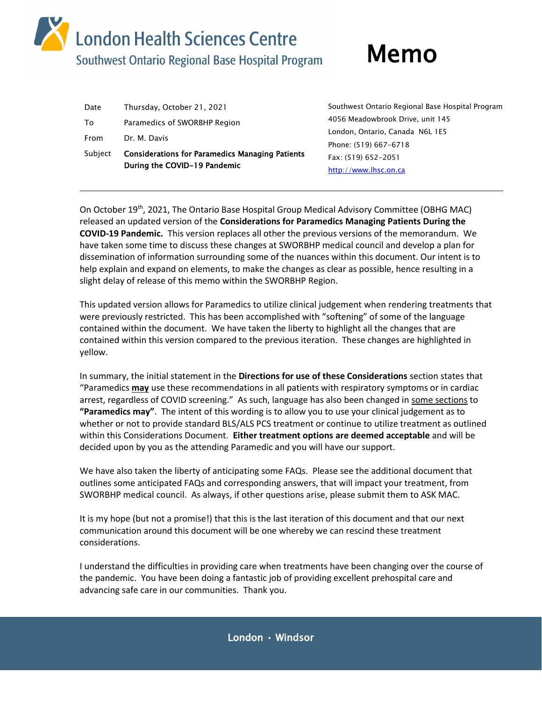# **Market Script Avandon Health Sciences Centre**<br>Southwest Ontario Regional Base Hospital Program Memo

| Date            | Thursday, October 21, 2021                                                                             | Southwest Ontario Regional Base Hospital Program |
|-----------------|--------------------------------------------------------------------------------------------------------|--------------------------------------------------|
| To              | Paramedics of SWORBHP Region                                                                           | 4056 Meadowbrook Drive, unit 145                 |
|                 |                                                                                                        | London, Ontario, Canada N6L 1E5                  |
| From<br>Subject | Dr. M. Davis<br><b>Considerations for Paramedics Managing Patients</b><br>During the COVID-19 Pandemic | Phone: (519) 667-6718                            |
|                 |                                                                                                        | Fax: (519) 652-2051                              |
|                 |                                                                                                        | http://www.lhsc.on.ca                            |

On October 19<sup>th</sup>, 2021, The Ontario Base Hospital Group Medical Advisory Committee (OBHG MAC) released an updated version of the **Considerations for Paramedics Managing Patients During the COVID-19 Pandemic.** This version replaces all other the previous versions of the memorandum. We have taken some time to discuss these changes at SWORBHP medical council and develop a plan for dissemination of information surrounding some of the nuances within this document. Our intent is to help explain and expand on elements, to make the changes as clear as possible, hence resulting in a slight delay of release of this memo within the SWORBHP Region.

This updated version allows for Paramedics to utilize clinical judgement when rendering treatments that were previously restricted. This has been accomplished with "softening" of some of the language contained within the document. We have taken the liberty to highlight all the changes that are contained within this version compared to the previous iteration. These changes are highlighted in yellow.

In summary, the initial statement in the **Directions for use of these Considerations** section states that "Paramedics **may** use these recommendations in all patients with respiratory symptoms or in cardiac arrest, regardless of COVID screening." As such, language has also been changed in some sections to **"Paramedics may"**. The intent of this wording is to allow you to use your clinical judgement as to whether or not to provide standard BLS/ALS PCS treatment or continue to utilize treatment as outlined within this Considerations Document. **Either treatment options are deemed acceptable** and will be decided upon by you as the attending Paramedic and you will have our support.

We have also taken the liberty of anticipating some FAQs. Please see the additional document that outlines some anticipated FAQs and corresponding answers, that will impact your treatment, from SWORBHP medical council. As always, if other questions arise, please submit them to ASK MAC.

It is my hope (but not a promise!) that this is the last iteration of this document and that our next communication around this document will be one whereby we can rescind these treatment considerations.

I understand the difficulties in providing care when treatments have been changing over the course of the pandemic. You have been doing a fantastic job of providing excellent prehospital care and advancing safe care in our communities. Thank you.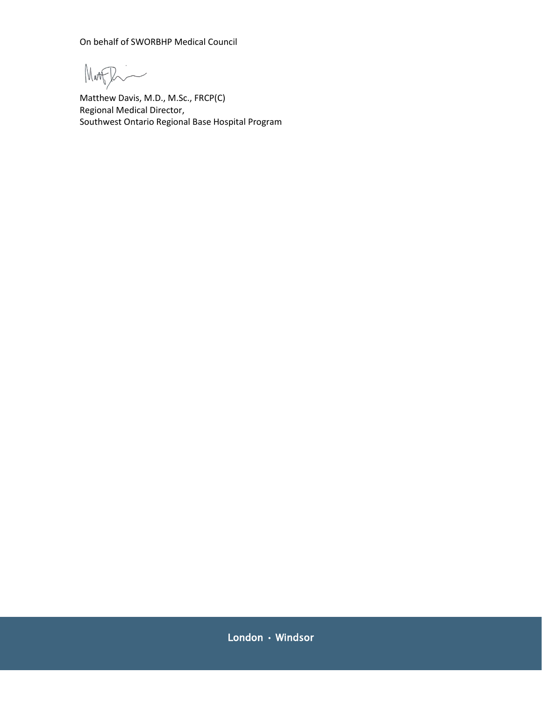On behalf of SWORBHP Medical Council

Magghi

Matthew Davis, M.D., M.Sc., FRCP(C) Regional Medical Director, Southwest Ontario Regional Base Hospital Program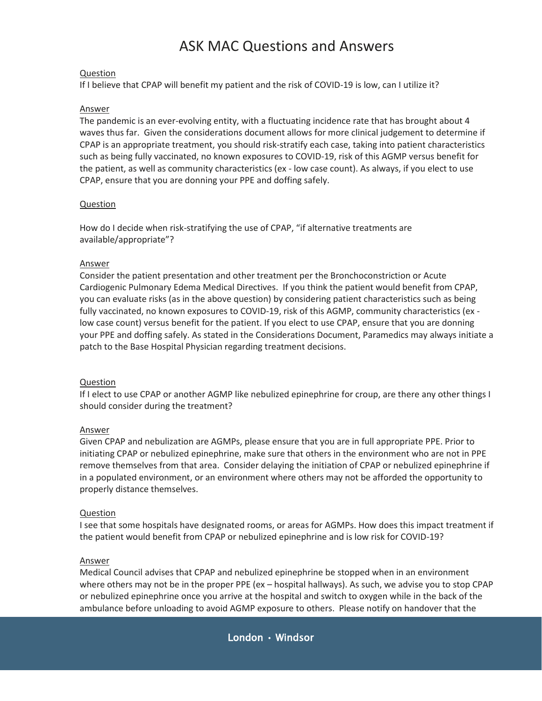## ASK MAC Questions and Answers

### **Question**

If I believe that CPAP will benefit my patient and the risk of COVID-19 is low, can I utilize it?

#### Answer

The pandemic is an ever-evolving entity, with a fluctuating incidence rate that has brought about 4 waves thus far. Given the considerations document allows for more clinical judgement to determine if CPAP is an appropriate treatment, you should risk-stratify each case, taking into patient characteristics such as being fully vaccinated, no known exposures to COVID-19, risk of this AGMP versus benefit for the patient, as well as community characteristics (ex - low case count). As always, if you elect to use CPAP, ensure that you are donning your PPE and doffing safely.

#### **Question**

How do I decide when risk-stratifying the use of CPAP, "if alternative treatments are available/appropriate"?

#### Answer

Consider the patient presentation and other treatment per the Bronchoconstriction or Acute Cardiogenic Pulmonary Edema Medical Directives. If you think the patient would benefit from CPAP, you can evaluate risks (as in the above question) by considering patient characteristics such as being fully vaccinated, no known exposures to COVID-19, risk of this AGMP, community characteristics (ex low case count) versus benefit for the patient. If you elect to use CPAP, ensure that you are donning your PPE and doffing safely. As stated in the Considerations Document, Paramedics may always initiate a patch to the Base Hospital Physician regarding treatment decisions.

#### Question

If I elect to use CPAP or another AGMP like nebulized epinephrine for croup, are there any other things I should consider during the treatment?

#### Answer

Given CPAP and nebulization are AGMPs, please ensure that you are in full appropriate PPE. Prior to initiating CPAP or nebulized epinephrine, make sure that others in the environment who are not in PPE remove themselves from that area. Consider delaying the initiation of CPAP or nebulized epinephrine if in a populated environment, or an environment where others may not be afforded the opportunity to properly distance themselves.

#### Question

I see that some hospitals have designated rooms, or areas for AGMPs. How does this impact treatment if the patient would benefit from CPAP or nebulized epinephrine and is low risk for COVID-19?

#### Answer

Medical Council advises that CPAP and nebulized epinephrine be stopped when in an environment where others may not be in the proper PPE (ex – hospital hallways). As such, we advise you to stop CPAP or nebulized epinephrine once you arrive at the hospital and switch to oxygen while in the back of the ambulance before unloading to avoid AGMP exposure to others. Please notify on handover that the